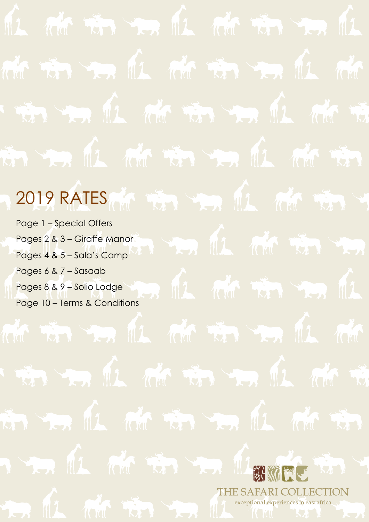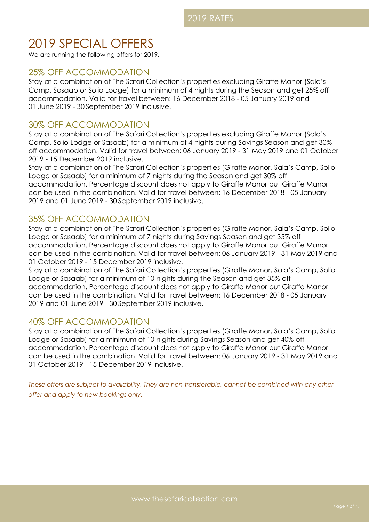# 2019 SPECIAL OFFERS

We are running the following offers for 2019.

# 25% OFF ACCOMMODATION

Stay at a combination of The Safari Collection's properties excluding Giraffe Manor (Sala's Camp, Sasaab or Solio Lodge) for a minimum of 4 nights during the Season and get 25% off accommodation. Valid for travel between: 16 December 2018 - 05 January 2019 and 01 June 2019 - 30 September 2019 inclusive.

# 30% OFF ACCOMMODATION

Stay at a combination of The Safari Collection's properties excluding Giraffe Manor (Sala's Camp, Solio Lodge or Sasaab) for a minimum of 4 nights during Savings Season and get 30% off accommodation. Valid for travel between: 06 January 2019 - 31 May 2019 and 01 October 2019 - 15 December 2019 inclusive.

Stay at a combination of The Safari Collection's properties (Giraffe Manor, Sala's Camp, Solio Lodge or Sasaab) for a minimum of 7 nights during the Season and get 30% off accommodation. Percentage discount does not apply to Giraffe Manor but Giraffe Manor can be used in the combination. Valid for travel between: 16 December 2018 - 05 January 2019 and 01 June 2019 - 30 September 2019 inclusive.

# 35% OFF ACCOMMODATION

Stay at a combination of The Safari Collection's properties (Giraffe Manor, Sala's Camp, Solio Lodge or Sasaab) for a minimum of 7 nights during Savings Season and get 35% off accommodation. Percentage discount does not apply to Giraffe Manor but Giraffe Manor can be used in the combination. Valid for travel between: 06 January 2019 - 31 May 2019 and 01 October 2019 - 15 December 2019 inclusive.

Stay at a combination of The Safari Collection's properties (Giraffe Manor, Sala's Camp, Solio Lodge or Sasaab) for a minimum of 10 nights during the Season and get 35% off accommodation. Percentage discount does not apply to Giraffe Manor but Giraffe Manor can be used in the combination. Valid for travel between: 16 December 2018 - 05 January 2019 and 01 June 2019 - 30 September 2019 inclusive.

# 40% OFF ACCOMMODATION

Stay at a combination of The Safari Collection's properties (Giraffe Manor, Sala's Camp, Solio Lodge or Sasaab) for a minimum of 10 nights during Savings Season and get 40% off accommodation. Percentage discount does not apply to Giraffe Manor but Giraffe Manor can be used in the combination. Valid for travel between: 06 January 2019 - 31 May 2019 and 01 October 2019 - 15 December 2019 inclusive.

*These offers are subject to availability. They are non-transferable, cannot be combined with any other offer and apply to new bookings only.*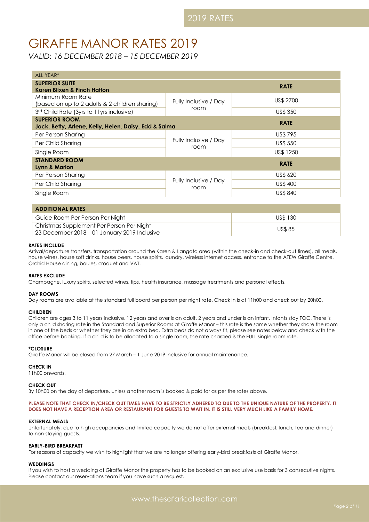# GIRAFFE MANOR RATES 2019

*VALID: 16 DECEMBER 2018 – 15 DECEMBER 2019*

| ALL YEAR*                                                                     |                               |                |  |
|-------------------------------------------------------------------------------|-------------------------------|----------------|--|
| <b>SUPERIOR SUITE</b><br>Karen Blixen & Finch Hatton                          |                               | <b>RATE</b>    |  |
| Minimum Room Rate<br>(based on up to 2 adults & 2 children sharing)           | Fully Inclusive / Day         | US\$ 2700      |  |
| 3rd Child Rate (3yrs to 11yrs inclusive)                                      | room                          | US\$ 350       |  |
| <b>SUPERIOR ROOM</b><br>Jock, Betty, Arlene, Kelly, Helen, Daisy, Edd & Salma |                               | <b>RATE</b>    |  |
| Per Person Sharing                                                            |                               | <b>US\$795</b> |  |
| Per Child Sharing                                                             | Fully Inclusive / Day<br>room | US\$ 550       |  |
| Single Room                                                                   |                               | US\$ 1250      |  |
| <b>STANDARD ROOM</b><br><b>RATE</b><br>Lynn & Marlon                          |                               |                |  |
| Per Person Sharing                                                            |                               | US\$ 620       |  |
| Per Child Sharing                                                             | Fully Inclusive / Day<br>room | US\$ 400       |  |
| Single Room                                                                   |                               | US\$ 840       |  |

| <b>ADDITIONAL RATES</b>                      |          |
|----------------------------------------------|----------|
| Guide Room Per Person Per Night              | US\$ 130 |
| Christmas Supplement Per Person Per Night    | US\$ 85  |
| 23 December 2018 - 01 January 2019 Inclusive |          |

# **RATES INCLUDE**

Arrival/departure transfers, transportation around the Karen & Langata area (within the check-in and check-out times), all meals, house wines, house soft drinks, house beers, house spirits, laundry, wireless internet access, entrance to the AFEW Giraffe Centre, Orchid House dining, boules, croquet and VAT.

# **RATES EXCLUDE**

Champagne, luxury spirits, selected wines, tips, health insurance, massage treatments and personal effects.

# **DAY ROOMS**

Day rooms are available at the standard full board per person per night rate. Check in is at 11h00 and check out by 20h00.

#### **CHILDREN**

Children are ages 3 to 11 years inclusive. 12 years and over is an adult. 2 years and under is an infant. Infants stay FOC. There is only a child sharing rate in the Standard and Superior Rooms at Giraffe Manor – this rate is the same whether they share the room in one of the beds or whether they are in an extra bed. Extra beds do not always fit, please see notes below and check with the office before booking. If a child is to be allocated to a single room, the rate charged is the FULL single room rate.

# **\*CLOSURE**

Giraffe Manor will be closed from 27 March – 1 June 2019 inclusive for annual maintenance.

#### **CHECK IN**

11h00 onwards.

# **CHECK OUT**

By 10h00 on the day of departure, unless another room is booked & paid for as per the rates above.

### **PLEASE NOTE THAT CHECK IN/CHECK OUT TIMES HAVE TO BE STRICTLY ADHERED TO DUE TO THE UNIQUE NATURE OF THE PROPERTY. IT DOES NOT HAVE A RECEPTION AREA OR RESTAURANT FOR GUESTS TO WAIT IN. IT IS STILL VERY MUCH LIKE A FAMILY HOME.**

#### **EXTERNAL MEALS**

Unfortunately, due to high occupancies and limited capacity we do not offer external meals (breakfast, lunch, tea and dinner) to non-staying guests.

# **EARLY-BIRD BREAKFAST**

For reasons of capacity we wish to highlight that we are no longer offering early-bird breakfasts at Giraffe Manor.

#### **WEDDINGS**

If you wish to host a wedding at Giraffe Manor the property has to be booked on an exclusive use basis for 3 consecutive nights. Please contact our reservations team if you have such a request.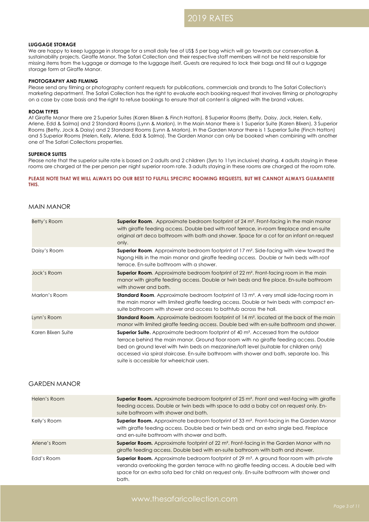#### **LUGGAGE STORAGE**

We are happy to keep luggage in storage for a small daily fee of US\$ 5 per bag which will go towards our conservation & sustainability projects. Giraffe Manor, The Safari Collection and their respective staff members will not be held responsible for missing items from the luggage or damage to the luggage itself. Guests are required to lock their bags and fill out a luggage storage form at Giraffe Manor.

#### **PHOTOGRAPHY AND FILMING**

Please send any filming or photography content requests for publications, commercials and brands to The Safari Collection's marketing department. The Safari Collection has the right to evaluate each booking request that involves filming or photography on a case by case basis and the right to refuse bookings to ensure that all content is aligned with the brand values.

### **ROOM TYPES**

At Giraffe Manor there are 2 Superior Suites (Karen Blixen & Finch Hatton), 8 Superior Rooms (Betty, Daisy, Jock, Helen, Kelly, Arlene, Edd & Salma) and 2 Standard Rooms (Lynn & Marlon). In the Main Manor there is 1 Superior Suite (Karen Blixen), 3 Superior Rooms (Betty, Jock & Daisy) and 2 Standard Rooms (Lynn & Marlon). In the Garden Manor there is 1 Superior Suite (Finch Hatton) and 5 Superior Rooms (Helen, Kelly, Arlene, Edd & Salma). The Garden Manor can only be booked when combining with another one of The Safari Collections properties.

#### **SUPERIOR SUITES**

Please note that the superior suite rate is based on 2 adults and 2 children (3yrs to 11yrs inclusive) sharing. 4 adults staying in these rooms are charged at the per person per night superior room rate. 3 adults staying in these rooms are charged at the room rate.

**PLEASE NOTE THAT WE WILL ALWAYS DO OUR BEST TO FULFILL SPECIFIC ROOMING REQUESTS, BUT WE CANNOT ALWAYS GUARANTEE THIS.**

# MAIN MANOR

| Betty's Room       | <b>Superior Room.</b> Approximate bedroom footprint of 24 $m^2$ . Front-facing in the main manor<br>with giraffe feeding access. Double bed with roof terrace, in-room fireplace and en-suite<br>original art deco bathroom with bath and shower. Space for a cot for an infant on request<br>only.                                                                                                                         |
|--------------------|-----------------------------------------------------------------------------------------------------------------------------------------------------------------------------------------------------------------------------------------------------------------------------------------------------------------------------------------------------------------------------------------------------------------------------|
| Daisy's Room       | <b>Superior Room.</b> Approximate bedroom footprint of $17 \text{ m}^2$ . Side-facing with view toward the<br>Ngong Hills in the main manor and giraffe feeding access. Double or twin beds with roof<br>terrace. En-suite bathroom with a shower.                                                                                                                                                                          |
| Jock's Room        | Superior Room. Approximate bedroom footprint of 22 m <sup>2</sup> . Front-facing room in the main<br>manor with giraffe feeding access. Double or twin beds and fire place. En-suite bathroom<br>with shower and bath.                                                                                                                                                                                                      |
| Marlon's Room      | <b>Standard Room.</b> Approximate bedroom footprint of 13 m <sup>2</sup> . A very small side-facing room in<br>the main manor with limited giraffe feeding access. Double or twin beds with compact en-<br>suite bathroom with shower and access to bathtub across the hall.                                                                                                                                                |
| Lynn's Room        | <b>Standard Room.</b> Approximate bedroom footprint of 14 m <sup>2</sup> . located at the back of the main<br>manor with limited giraffe feeding access. Double bed with en-suite bathroom and shower.                                                                                                                                                                                                                      |
| Karen Blixen Suite | <b>Superior Suite.</b> Approximate bedroom footprint of 40 $m^2$ . Accessed from the outdoor<br>terrace behind the main manor. Ground floor room with no giraffe feeding access. Double<br>bed on ground level with twin beds on mezzanine/loft level (suitable for children only)<br>accessed via spiral staircase. En-suite bathroom with shower and bath, separate loo. This<br>suite is accessible for wheelchair users |

# GARDEN MANOR

| Helen's Room  | <b>Superior Room.</b> Approximate bedroom footprint of 25 m <sup>2</sup> . Front and west-facing with giraffe<br>feeding access. Double or twin beds with space to add a baby cot on request only. En-<br>suite bathroom with shower and bath.                                                      |
|---------------|-----------------------------------------------------------------------------------------------------------------------------------------------------------------------------------------------------------------------------------------------------------------------------------------------------|
| Kelly's Room  | <b>Superior Room.</b> Approximate bedroom footprint of 33 m <sup>2</sup> . Front-facing in the Garden Manor<br>with giraffe feeding access. Double bed or twin beds and an extra single bed. Fireplace<br>and en-suite bathroom with shower and bath.                                               |
| Arlene's Room | <b>Superior Room.</b> Approximate footprint of 22 $m2$ . Front-facing in the Garden Manor with no<br>giraffe feeding access. Double bed with en-suite bathroom with bath and shower.                                                                                                                |
| Edd's Room    | <b>Superior Room.</b> Approximate bedroom footprint of 29 $m^2$ . A ground floor room with private<br>veranda overlooking the garden terrace with no giraffe feeding access. A double bed with<br>space for an extra sofa bed for child on request only. En-suite bathroom with shower and<br>bath. |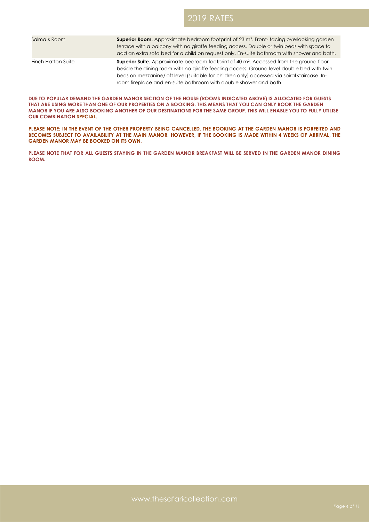| Salma's Room       | <b>Superior Room.</b> Approximate bedroom footprint of $23 \text{ m}^2$ . Front-facing overlooking garden<br>terrace with a balcony with no giraffe feeding access. Double or twin beds with space to<br>add an extra sofa bed for a child on request only. En-suite bathroom with shower and bath.                                                               |
|--------------------|-------------------------------------------------------------------------------------------------------------------------------------------------------------------------------------------------------------------------------------------------------------------------------------------------------------------------------------------------------------------|
| Finch Hatton Suite | <b>Superior Suite.</b> Approximate bedroom footprint of 40 $m2$ . Accessed from the ground floor<br>beside the dining room with no giraffe feeding access. Ground level double bed with twin<br>beds on mezzanine/loft level (suitable for children only) accessed via spiral staircase. In-<br>room fireplace and en-suite bathroom with double shower and bath. |

**DUE TO POPULAR DEMAND THE GARDEN MANOR SECTION OF THE HOUSE (ROOMS INDICATED ABOVE) IS ALLOCATED FOR GUESTS THAT ARE USING MORE THAN ONE OF OUR PROPERTIES ON A BOOKING. THIS MEANS THAT YOU CAN ONLY BOOK THE GARDEN MANOR IF YOU ARE ALSO BOOKING ANOTHER OF OUR DESTINATIONS FOR THE SAME GROUP. THIS WILL ENABLE YOU TO FULLY UTILISE OUR COMBINATION SPECIAL.** 

**PLEASE NOTE: IN THE EVENT OF THE OTHER PROPERTY BEING CANCELLED, THE BOOKING AT THE GARDEN MANOR IS FORFEITED AND**  BECOMES SUBJECT TO AVAILABILITY AT THE MAIN MANOR. HOWEVER, IF THE BOOKING IS MADE WITHIN 4 WEEKS OF ARRIVAL, THE **GARDEN MANOR MAY BE BOOKED ON ITS OWN.**

**PLEASE NOTE THAT FOR ALL GUESTS STAYING IN THE GARDEN MANOR BREAKFAST WILL BE SERVED IN THE GARDEN MANOR DINING ROOM.**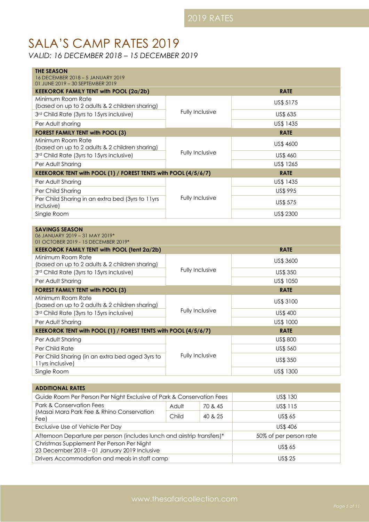# SALA'S CAMP RATES 2019

*VALID: 16 DECEMBER 2018 – 15 DECEMBER 2019*

| <b>THE SEASON</b><br>16 DECEMBER 2018 - 5 JANUARY 2019                                         |                        |                 |  |
|------------------------------------------------------------------------------------------------|------------------------|-----------------|--|
| 01 JUNE 2019 - 30 SEPTEMBER 2019                                                               |                        |                 |  |
| <b>KEEKOROK FAMILY TENT with POOL (2a/2b)</b>                                                  |                        | <b>RATE</b>     |  |
| Minimum Room Rate                                                                              |                        | US\$ 5175       |  |
| (based on up to 2 adults & 2 children sharing)<br>3rd Child Rate (3yrs to 15yrs inclusive)     | Fully Inclusive        | US\$ 635        |  |
| Per Adult sharing                                                                              |                        | US\$ 1435       |  |
| <b>FOREST FAMILY TENT with POOL (3)</b>                                                        |                        | <b>RATE</b>     |  |
| Minimum Room Rate<br>(based on up to 2 adults & 2 children sharing)                            |                        | US\$ 4600       |  |
| 3rd Child Rate (3yrs to 15yrs inclusive)                                                       | Fully Inclusive        | US\$ 460        |  |
| Per Adult Sharing                                                                              |                        | US\$ 1265       |  |
| KEEKOROK TENT with POOL (1) / FOREST TENTS with POOL (4/5/6/7)<br><b>RATE</b>                  |                        |                 |  |
| Per Adult Sharing                                                                              |                        | US\$ 1435       |  |
| Per Child Sharing                                                                              | <b>Fully Inclusive</b> | <b>US\$ 995</b> |  |
| Per Child Sharing in an extra bed (3yrs to 11yrs<br>inclusive)                                 |                        | <b>US\$ 575</b> |  |
| Single Room                                                                                    |                        | US\$ 2300       |  |
|                                                                                                |                        |                 |  |
| <b>SAVINGS SEASON</b><br>06 JANUARY 2019 - 31 MAY 2019*<br>01 OCTOBER 2019 - 15 DECEMBER 2019* |                        |                 |  |
| <b>KEEKOROK FAMILY TENT with POOL (tent 2a/2b)</b>                                             |                        | <b>RATE</b>     |  |
| Minimum Room Rate<br>(based on up to 2 adults & 2 children sharing)                            |                        | US\$ 3600       |  |
| 3rd Child Rate (3yrs to 15yrs inclusive)                                                       | <b>Fully Inclusive</b> | US\$ 350        |  |
| Per Adult Sharing                                                                              |                        | US\$ 1050       |  |
| <b>FOREST FAMILY TENT with POOL (3)</b>                                                        |                        | <b>RATE</b>     |  |

| FOREST FAMILY TENT WITH POOL (3)                                     |                 | <b>KAIL</b>     |
|----------------------------------------------------------------------|-----------------|-----------------|
| Minimum Room Rate<br>(based on up to 2 adults & 2 children sharing)  |                 | US\$ 3100       |
| 3rd Child Rate (3yrs to 15yrs inclusive)                             | Fully Inclusive | US\$ 400        |
| Per Adult Sharing                                                    |                 | US\$ 1000       |
| KEEKOROK TENT with POOL (1) / FOREST TENTS with POOL (4/5/6/7)       |                 | <b>RATE</b>     |
| Per Adult Sharing                                                    |                 | US\$ 800        |
| Per Child Rate                                                       | Fully Inclusive | <b>US\$ 560</b> |
| Per Child Sharing (in an extra bed aged 3yrs to<br>1 lyrs inclusive) |                 | <b>US\$ 350</b> |
| Single Room                                                          |                 | US\$ 1300       |

| <b>ADDITIONAL RATES</b>                                                                   |       |                        |                |  |
|-------------------------------------------------------------------------------------------|-------|------------------------|----------------|--|
| Guide Room Per Person Per Night Exclusive of Park & Conservation Fees                     |       |                        | US\$ 130       |  |
| Park & Conservation Fees                                                                  | Adult | 70 & 45                | US\$ 115       |  |
| (Masai Mara Park Fee & Rhino Conservation<br>Fee)                                         | Child | 40 & 25                | <b>US\$ 65</b> |  |
| Exclusive Use of Vehicle Per Day                                                          |       |                        | US\$406        |  |
| Afternoon Departure per person (includes lunch and airstrip transfers)*                   |       | 50% of per person rate |                |  |
| Christmas Supplement Per Person Per Night<br>23 December 2018 - 01 January 2019 Inclusive |       |                        | <b>US\$ 65</b> |  |
| Drivers Accommodation and meals in staff camp                                             |       | <b>US\$ 25</b>         |                |  |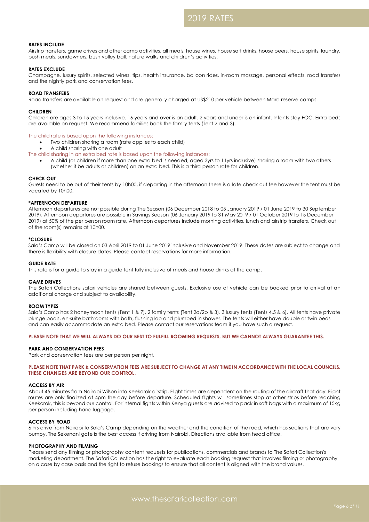### **RATES INCLUDE**

Airstrip transfers, game drives and other camp activities, all meals, house wines, house soft drinks, house beers, house spirits, laundry, bush meals, sundowners, bush volley ball, nature walks and children's activities.

#### **RATES EXCLUDE**

Champagne, luxury spirits, selected wines, tips, health insurance, balloon rides, in-room massage, personal effects, road transfers and the nightly park and conservation fees.

#### **ROAD TRANSFERS**

Road transfers are available on request and are generally charged at US\$210 per vehicle between Mara reserve camps.

#### **CHILDREN**

Children are ages 3 to 15 years inclusive. 16 years and over is an adult. 2 years and under is an infant. Infants stay FOC. Extra beds are available on request. We recommend families book the family tents (Tent 2 and 3).

#### The child rate is based upon the following instances:

- Two children sharing a room (rate applies to each child)
- A child sharing with one adult
- The child sharing in an extra bed rate is based upon the following instances:
	- A child (or children if more than one extra bed is needed, aged 3yrs to 11yrs inclusive) sharing a room with two others (whether it be adults or children) on an extra bed. This is a third person rate for children.

#### **CHECK OUT**

Guests need to be out of their tents by 10h00, if departing in the afternoon there is a late check out fee however the tent must be vacated by 10h00.

#### **\*AFTERNOON DEPARTURE**

Afternoon departures are not possible during The Season (06 December 2018 to 05 January 2019 / 01 June 2019 to 30 September 2019). Afternoon departures are possible in Savings Season (06 January 2019 to 31 May 2019 / 01 October 2019 to 15 December 2019) at 50% of the per person room rate. Afternoon departures include morning activities, lunch and airstrip transfers. Check out of the room(s) remains at 10h00.

#### **\*CLOSURE**

Sala's Camp will be closed on 03 April 2019 to 01 June 2019 inclusive and November 2019. These dates are subject to change and there is flexibility with closure dates. Please contact reservations for more information.

#### **GUIDE RATE**

This rate is for a guide to stay in a guide tent fully inclusive of meals and house drinks at the camp.

#### **GAME DRIVES**

The Safari Collections safari vehicles are shared between guests. Exclusive use of vehicle can be booked prior to arrival at an additional charge and subject to availability.

#### **ROOM TYPES**

Sala's Camp has 2 honeymoon tents (Tent 1 & 7), 2 family tents (Tent 2a/2b & 3), 3 luxury tents (Tents 4,5 & 6). All tents have private plunge pools, en-suite bathrooms with bath, flushing loo and plumbed in shower. The tents will either have double or twin beds and can easily accommodate an extra bed. Please contact our reservations team if you have such a request.

# **PLEASE NOTE THAT WE WILL ALWAYS DO OUR BEST TO FULFILL ROOMING REQUESTS, BUT WE CANNOT ALWAYS GUARANTEE THIS.**

#### **PARK AND CONSERVATION FEES**

Park and conservation fees are per person per night.

**PLEASE NOTE THAT PARK & CONSERVATION FEES ARE SUBJECT TO CHANGE AT ANY TIME IN ACCORDANCE WITH THE LOCAL COUNCILS. THESE CHANGES ARE BEYOND OUR CONTROL.** 

#### **ACCESS BY AIR**

About 45 minutes from Nairobi Wilson into Keekorok airstrip. Flight times are dependent on the routing of the aircraft that day. Flight routes are only finalized at 4pm the day before departure. Scheduled flights will sometimes stop at other strips before reaching Keekorok, this is beyond our control. For internal fights within Kenya guests are advised to pack in soft bags with a maximum of 15kg per person including hand luggage.

#### **ACCESS BY ROAD**

6 hrs drive from Nairobi to Sala's Camp depending on the weather and the condition of the road, which has sections that are very bumpy. The Sekenani gate is the best access if driving from Nairobi. Directions available from head office.

#### **PHOTOGRAPHY AND FILMING**

Please send any filming or photography content requests for publications, commercials and brands to The Safari Collection's marketing department. The Safari Collection has the right to evaluate each booking request that involves filming or photography on a case by case basis and the right to refuse bookings to ensure that all content is aligned with the brand values.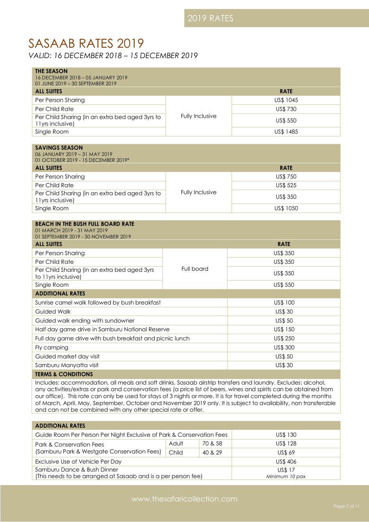# SASAAB RATES 2019

*VALID: 16 DECEMBER 2018 – 15 DECEMBER 2019*

| <b>THE SEASON</b><br>16 DECEMBER 2018 - 05 JANUARY 2019                                                                                                                                                                                                                                                                                                                                                                                                                        |                 |               |  |
|--------------------------------------------------------------------------------------------------------------------------------------------------------------------------------------------------------------------------------------------------------------------------------------------------------------------------------------------------------------------------------------------------------------------------------------------------------------------------------|-----------------|---------------|--|
| 01 JUNE 2019 - 30 SEPTEMBER 2019                                                                                                                                                                                                                                                                                                                                                                                                                                               |                 |               |  |
| <b>ALL SUITES</b>                                                                                                                                                                                                                                                                                                                                                                                                                                                              |                 | <b>RATE</b>   |  |
| Per Person Sharing                                                                                                                                                                                                                                                                                                                                                                                                                                                             |                 | US\$ 1045     |  |
| Per Child Rate                                                                                                                                                                                                                                                                                                                                                                                                                                                                 |                 | US\$ 730      |  |
| Per Child Sharing (in an extra bed aged 3yrs to<br>11yrs inclusive)                                                                                                                                                                                                                                                                                                                                                                                                            | Fully Inclusive | US\$ 550      |  |
| Single Room                                                                                                                                                                                                                                                                                                                                                                                                                                                                    |                 | US\$ 1485     |  |
|                                                                                                                                                                                                                                                                                                                                                                                                                                                                                |                 |               |  |
| <b>SAVINGS SEASON</b><br>06 JANUARY 2019 - 31 MAY 2019<br>01 OCTOBER 2019 - 15 DECEMBER 2019*                                                                                                                                                                                                                                                                                                                                                                                  |                 |               |  |
| <b>ALL SUITES</b>                                                                                                                                                                                                                                                                                                                                                                                                                                                              |                 | <b>RATE</b>   |  |
| Per Person Sharing                                                                                                                                                                                                                                                                                                                                                                                                                                                             |                 | US\$ 750      |  |
| Per Child Rate                                                                                                                                                                                                                                                                                                                                                                                                                                                                 |                 | US\$ 525      |  |
| Per Child Sharing (in an extra bed aged 3yrs to<br>11yrs inclusive)                                                                                                                                                                                                                                                                                                                                                                                                            | Fully Inclusive | US\$ 350      |  |
| Single Room                                                                                                                                                                                                                                                                                                                                                                                                                                                                    |                 | US\$ 1050     |  |
| <b>BEACH IN THE BUSH FULL BOARD RATE</b><br>01 MARCH 2019 - 31 MAY 2019<br>01 SEPTEMBER 2019 - 30 NOVEMBER 2019                                                                                                                                                                                                                                                                                                                                                                |                 |               |  |
| <b>ALL SUITES</b>                                                                                                                                                                                                                                                                                                                                                                                                                                                              |                 | <b>RATE</b>   |  |
| Per Person Sharing                                                                                                                                                                                                                                                                                                                                                                                                                                                             |                 | US\$ 350      |  |
| Per Child Rate                                                                                                                                                                                                                                                                                                                                                                                                                                                                 |                 | US\$ 350      |  |
| Per Child Sharing (in an extra bed aged 3yrs<br>to 11yrs inclusive)                                                                                                                                                                                                                                                                                                                                                                                                            | Full board      | US\$ 350      |  |
| Single Room                                                                                                                                                                                                                                                                                                                                                                                                                                                                    |                 | US\$ 550      |  |
| <b>ADDITIONAL RATES</b>                                                                                                                                                                                                                                                                                                                                                                                                                                                        |                 |               |  |
| Sunrise camel walk followed by bush breakfast<br>US\$ 100                                                                                                                                                                                                                                                                                                                                                                                                                      |                 |               |  |
| <b>Guided Walk</b>                                                                                                                                                                                                                                                                                                                                                                                                                                                             |                 | US\$ 30       |  |
| <b>US\$50</b><br>Guided walk ending with sundowner                                                                                                                                                                                                                                                                                                                                                                                                                             |                 |               |  |
| Half day game drive in Samburu National Reserve<br>US\$ 150                                                                                                                                                                                                                                                                                                                                                                                                                    |                 |               |  |
| Full day game drive with bush breakfast and picnic lunch                                                                                                                                                                                                                                                                                                                                                                                                                       |                 | US\$ 250      |  |
| Fly camping                                                                                                                                                                                                                                                                                                                                                                                                                                                                    |                 | US\$ 300      |  |
| Guided market day visit                                                                                                                                                                                                                                                                                                                                                                                                                                                        |                 | <b>US\$50</b> |  |
| Samburu Manyatta visit                                                                                                                                                                                                                                                                                                                                                                                                                                                         |                 | <b>US\$30</b> |  |
| <b>TERMS &amp; CONDITIONS</b>                                                                                                                                                                                                                                                                                                                                                                                                                                                  |                 |               |  |
| Includes: accommodation, all meals and soft drinks, Sasaab airstrip transfers and laundry. Excludes: alcohol,<br>any activities/extras or park and conservation fees (a price list of beers, wines and spirits can be obtained from<br>our office). This rate can only be used for stays of 3 nights or more. It is for travel completed during the months<br>of March, April, May, September, October and November 2019 only. It is subject to availability, non transferable |                 |               |  |

| <b>ADDITIONAL RATES</b>                                                                      |       |                                 |               |
|----------------------------------------------------------------------------------------------|-------|---------------------------------|---------------|
| Guide Room Per Person Per Night Exclusive of Park & Conservation Fees                        |       |                                 | US\$ 130      |
| Park & Conservation Fees                                                                     | Adult | 70 & 58                         | US\$ 128      |
| (Samburu Park & Westgate Conservation Fees)                                                  | Child | 40 & 29                         | <b>US\$69</b> |
| Exclusive Use of Vehicle Per Day                                                             |       |                                 | US\$ 406      |
| Samburu Dance & Bush Dinner<br>(This needs to be arranged at Sasaab and is a per person fee) |       | <b>US\$17</b><br>Minimum 10 pax |               |
|                                                                                              |       |                                 |               |

and can not be combined with any other special rate or offer.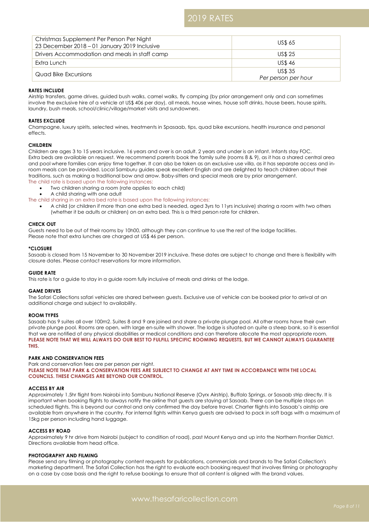| Christmas Supplement Per Person Per Night<br>23 December 2018 - 01 January 2019 Inclusive | <b>US\$ 65</b>      |
|-------------------------------------------------------------------------------------------|---------------------|
| Drivers Accommodation and meals in staff camp                                             | <b>US\$ 25</b>      |
| Extra Lunch                                                                               | <b>US\$46</b>       |
| Quad Bike Excursions                                                                      | <b>US\$35</b>       |
|                                                                                           | Per person per hour |

# **RATES INCLUDE**

Airstrip transfers, game drives, guided bush walks, camel walks, fly camping (by prior arrangement only and can sometimes involve the exclusive hire of a vehicle at US\$ 406 per day), all meals, house wines, house soft drinks, house beers, house spirits, laundry, bush meals, school/clinic/village/market visits and sundowners.

# **RATES EXCLUDE**

Champagne, luxury spirits, selected wines, treatments in Spasaab, tips, quad bike excursions, health insurance and personal effects.

# **CHILDREN**

Children are ages 3 to 15 years inclusive. 16 years and over is an adult. 2 years and under is an infant. Infants stay FOC. Extra beds are available on request. We recommend parents book the family suite (rooms 8 & 9), as it has a shared central area and pool where families can enjoy time together. It can also be taken as an exclusive use villa, as it has separate access and inroom meals can be provided. Local Samburu guides speak excellent English and are delighted to teach children about their traditions, such as making a traditional bow and arrow. Baby-sitters and special meals are by prior arrangement.

The child rate is based upon the following instances:

• Two children sharing a room (rate applies to each child)

• A child sharing with one adult

The child sharing in an extra bed rate is based upon the following instances:

• A child (or children if more than one extra bed is needed, aged 3yrs to 11yrs inclusive) sharing a room with two others (whether it be adults or children) on an extra bed. This is a third person rate for children.

### **CHECK OUT**

Guests need to be out of their rooms by 10h00, although they can continue to use the rest of the lodge facilities. Please note that extra lunches are charged at US\$ 46 per person.

### **\*CLOSURE**

Sasaab is closed from 15 November to 30 November 2019 inclusive. These dates are subject to change and there is flexibility with closure dates. Please contact reservations for more information.

# **GUIDE RATE**

This rate is for a guide to stay in a guide room fully inclusive of meals and drinks at the lodge.

# **GAME DRIVES**

The Safari Collections safari vehicles are shared between guests. Exclusive use of vehicle can be booked prior to arrival at an additional charge and subject to availability.

# **ROOM TYPES**

Sasaab has 9 suites all over 100m2. Suites 8 and 9 are joined and share a private plunge pool. All other rooms have their own private plunge pool. Rooms are open, with large en-suite with shower. The lodge is situated on quite a steep bank, so it is essential that we are notified of any physical disabilities or medical conditions and can therefore allocate the most appropriate room. **PLEASE NOTE THAT WE WILL ALWAYS DO OUR BEST TO FULFILL SPECIFIC ROOMING REQUESTS, BUT WE CANNOT ALWAYS GUARANTEE THIS.**

# **PARK AND CONSERVATION FEES**

Park and conservation fees are per person per night. **PLEASE NOTE THAT PARK & CONSERVATION FEES ARE SUBJECT TO CHANGE AT ANY TIME IN ACCORDANCE WITH THE LOCAL COUNCILS. THESE CHANGES ARE BEYOND OUR CONTROL.**

# **ACCESS BY AIR**

Approximately 1.5hr flight from Nairobi into Samburu National Reserve (Oyrx Airstrip), Buffalo Springs, or Sasaab strip directly. It is important when booking flights to always notify the airline that guests are staying at Sasaab. There can be multiple stops on scheduled flights. This is beyond our control and only confirmed the day before travel. Charter flights into Sasaab's airstrip are available from anywhere in the country. For internal fights within Kenya guests are advised to pack in soft bags with a maximum of 15kg per person including hand luggage.

# **ACCESS BY ROAD**

Approximately 9 hr drive from Nairobi (subject to condition of road), past Mount Kenya and up into the Northern Frontier District. Directions available from head office.

# **PHOTOGRAPHY AND FILMING**

Please send any filming or photography content requests for publications, commercials and brands to The Safari Collection's marketing department. The Safari Collection has the right to evaluate each booking request that involves filming or photography on a case by case basis and the right to refuse bookings to ensure that all content is aligned with the brand values.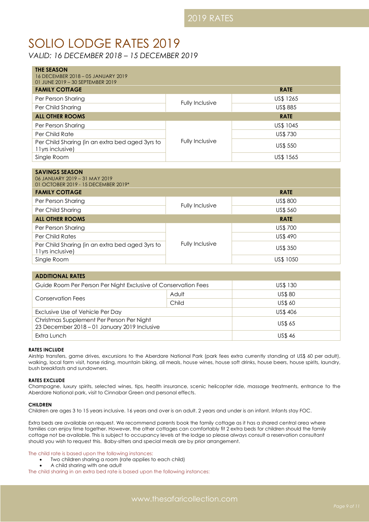# SOLIO LODGE RATES 2019

*VALID: 16 DECEMBER 2018 – 15 DECEMBER 2019*

| THE SEASON<br>16 DECEMBER 2018 - 05 JANUARY 2019<br>01 JUNE 2019 - 30 SEPTEMBER 2019<br><b>FAMILY COTTAGE</b> |                 | <b>RATE</b> |
|---------------------------------------------------------------------------------------------------------------|-----------------|-------------|
| Per Person Sharing                                                                                            |                 | US\$ 1265   |
| Per Child Sharing                                                                                             | Fully Inclusive | US\$ 885    |
| <b>ALL OTHER ROOMS</b>                                                                                        |                 | <b>RATE</b> |
| Per Person Sharing                                                                                            |                 | US\$ 1045   |
| Per Child Rate                                                                                                |                 | US\$ 730    |
| Per Child Sharing (in an extra bed aged 3yrs to<br>11yrs inclusive)                                           | Fully Inclusive | US\$ 550    |
| Single Room                                                                                                   |                 | US\$ 1565   |

| <b>SAVINGS SEASON</b><br>06 JANUARY 2019 - 31 MAY 2019<br>01 OCTOBER 2019 - 15 DECEMBER 2019* |                 |             |
|-----------------------------------------------------------------------------------------------|-----------------|-------------|
| <b>FAMILY COTTAGE</b>                                                                         |                 | <b>RATE</b> |
| Per Person Sharing                                                                            | Fully Inclusive | US\$ 800    |
| Per Child Sharing                                                                             |                 | US\$ 560    |
| <b>ALL OTHER ROOMS</b>                                                                        |                 | <b>RATE</b> |
| Per Person Sharing                                                                            | Fully Inclusive | US\$ 700    |
| Per Child Rates                                                                               |                 | US\$490     |
| Per Child Sharing (in an extra bed aged 3yrs to<br>11yrs inclusive)                           |                 | US\$ 350    |
| Single Room                                                                                   |                 | US\$ 1050   |

| <b>ADDITIONAL RATES</b>                                                                   |       |                |  |
|-------------------------------------------------------------------------------------------|-------|----------------|--|
| Guide Room Per Person Per Night Exclusive of Conservation Fees                            |       | US\$ 130       |  |
| Conservation Fees                                                                         | Adult | <b>US\$80</b>  |  |
|                                                                                           | Child | <b>US\$ 60</b> |  |
| Exclusive Use of Vehicle Per Day                                                          |       | US\$406        |  |
| Christmas Supplement Per Person Per Night<br>23 December 2018 - 01 January 2019 Inclusive |       | US\$ 65        |  |
| Extra Lunch                                                                               |       | <b>US\$46</b>  |  |

# **RATES INCLUDE**

Airstrip transfers, game drives, excursions to the Aberdare National Park (park fees extra currently standing at US\$ 60 per adult), walking, local farm visit, horse riding, mountain biking, all meals, house wines, house soft drinks, house beers, house spirits, laundry, bush breakfasts and sundowners.

# **RATES EXCLUDE**

Champagne, luxury spirits, selected wines, tips, health insurance, scenic helicopter ride, massage treatments, entrance to the Aberdare National park, visit to Cinnabar Green and personal effects.

# **CHILDREN**

Children are ages 3 to 15 years inclusive. 16 years and over is an adult. 2 years and under is an infant. Infants stay FOC.

Extra beds are available on request. We recommend parents book the family cottage as it has a shared central area where families can enjoy time together. However, the other cottages can comfortably fit 2 extra beds for children should the family cottage not be available. This is subject to occupancy levels at the lodge so please always consult a reservation consultant should you wish to request this. Baby-sitters and special meals are by prior arrangement.

# The child rate is based upon the following instances:

- Two children sharing a room (rate applies to each child)
- A child sharing with one adult

The child sharing in an extra bed rate is based upon the following instances: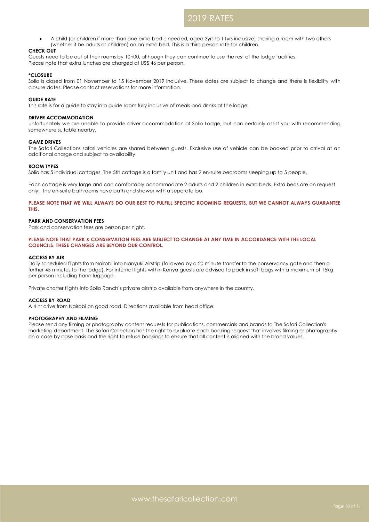• A child (or children if more than one extra bed is needed, aged 3yrs to 11yrs inclusive) sharing a room with two others (whether it be adults or children) on an extra bed. This is a third person rate for children.

# **CHECK OUT**

Guests need to be out of their rooms by 10h00, although they can continue to use the rest of the lodge facilities. Please note that extra lunches are charged at US\$ 46 per person.

#### **\*CLOSURE**

Solio is closed from 01 November to 15 November 2019 inclusive. These dates are subject to change and there is flexibility with closure dates. Please contact reservations for more information.

### **GUIDE RATE**

This rate is for a guide to stay in a guide room fully inclusive of meals and drinks at the lodge.

#### **DRIVER ACCOMMODATION**

Unfortunately we are unable to provide driver accommodation at Solio Lodge, but can certainly assist you with recommending somewhere suitable nearby.

#### **GAME DRIVES**

The Safari Collections safari vehicles are shared between guests. Exclusive use of vehicle can be booked prior to arrival at an additional charge and subject to availability.

### **ROOM TYPES**

Solio has 5 individual cottages. The 5th cottage is a family unit and has 2 en-suite bedrooms sleeping up to 5 people.

Each cottage is very large and can comfortably accommodate 2 adults and 2 children in extra beds. Extra beds are on request only. The en-suite bathrooms have bath and shower with a separate loo.

**PLEASE NOTE THAT WE WILL ALWAYS DO OUR BEST TO FULFILL SPECIFIC ROOMING REQUESTS, BUT WE CANNOT ALWAYS GUARANTEE THIS.**

### **PARK AND CONSERVATION FEES**

Park and conservation fees are person per night.

#### **PLEASE NOTE THAT PARK & CONSERVATION FEES ARE SUBJECT TO CHANGE AT ANY TIME IN ACCORDANCE WITH THE LOCAL COUNCILS. THESE CHANGES ARE BEYOND OUR CONTROL.**

### **ACCESS BY AIR**

Daily scheduled flights from Nairobi into Nanyuki Airstrip (followed by a 20 minute transfer to the conservancy gate and then a further 45 minutes to the lodge). For internal fights within Kenya guests are advised to pack in soft bags with a maximum of 15kg per person including hand luggage.

Private charter flights into Solio Ranch's private airstrip available from anywhere in the country.

#### **ACCESS BY ROAD**

A 4 hr drive from Nairobi on good road. Directions available from head office.

#### **PHOTOGRAPHY AND FILMING**

Please send any filming or photography content requests for publications, commercials and brands to The Safari Collection's marketing department. The Safari Collection has the right to evaluate each booking request that involves filming or photography on a case by case basis and the right to refuse bookings to ensure that all content is aligned with the brand values.